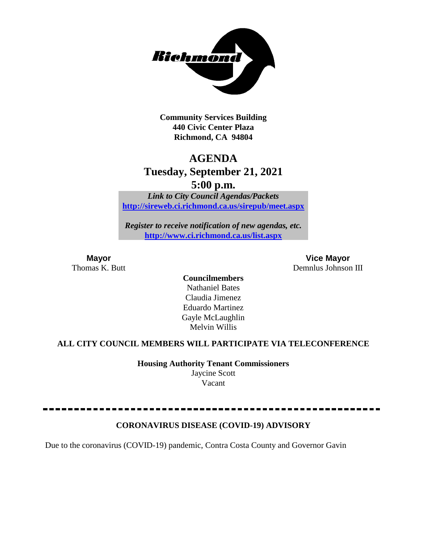

**Community Services Building 440 Civic Center Plaza Richmond, CA 94804**

## **AGENDA**

## **Tuesday, September 21, 2021**

**5:00 p.m.**

*Link to City Council Agendas/Packets* **<http://sireweb.ci.richmond.ca.us/sirepub/meet.aspx>**

*Register to receive notification of new agendas, etc.* **<http://www.ci.richmond.ca.us/list.aspx>**

**Mayor Vice Mayor** Thomas K. Butt Demnlus Johnson III

> **Councilmembers** Nathaniel Bates Claudia Jimenez Eduardo Martinez Gayle McLaughlin Melvin Willis

### **ALL CITY COUNCIL MEMBERS WILL PARTICIPATE VIA TELECONFERENCE**

**Housing Authority Tenant Commissioners** Jaycine Scott Vacant

### **CORONAVIRUS DISEASE (COVID-19) ADVISORY**

Due to the coronavirus (COVID-19) pandemic, Contra Costa County and Governor Gavin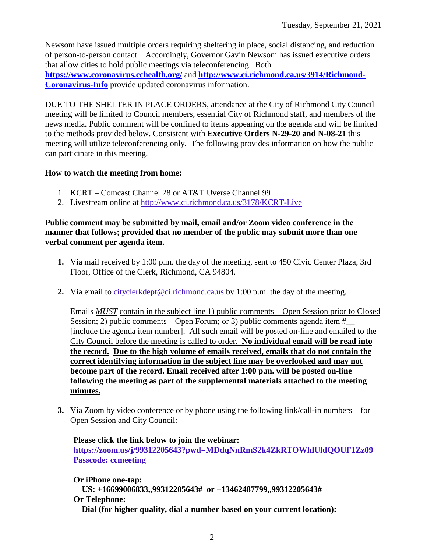Newsom have issued multiple orders requiring sheltering in place, social distancing, and reduction of person-to-person contact. Accordingly, Governor Gavin Newsom has issued executive orders that allow cities to hold public meetings via teleconferencing. Both **<https://www.coronavirus.cchealth.org/>** and **[http://www.ci.richmond.ca.us/3914/Richmond-](http://www.ci.richmond.ca.us/3914/Richmond-Coronavirus-Info)[Coronavirus-Info](http://www.ci.richmond.ca.us/3914/Richmond-Coronavirus-Info)** provide updated coronavirus information.

DUE TO THE SHELTER IN PLACE ORDERS, attendance at the City of Richmond City Council meeting will be limited to Council members, essential City of Richmond staff, and members of the news media. Public comment will be confined to items appearing on the agenda and will be limited to the methods provided below. Consistent with **Executive Orders N-29-20 and N-08-21** this meeting will utilize teleconferencing only. The following provides information on how the public can participate in this meeting.

#### **How to watch the meeting from home:**

- 1. KCRT Comcast Channel 28 or AT&T Uverse Channel 99
- 2. Livestream online at<http://www.ci.richmond.ca.us/3178/KCRT-Live>

#### **Public comment may be submitted by mail, email and/or Zoom video conference in the manner that follows; provided that no member of the public may submit more than one verbal comment per agenda item.**

- **1.** Via mail received by 1:00 p.m. the day of the meeting, sent to 450 Civic Center Plaza, 3rd Floor, Office of the Clerk, Richmond, CA 94804.
- **2.** Via email to [cityclerkdept@ci.richmond.ca.us](mailto:cityclerkdept@ci.richmond.ca.us) by 1:00 p.m. the day of the meeting.

Emails *MUST* contain in the subject line 1) public comments – Open Session prior to Closed Session; 2) public comments – Open Forum; or 3) public comments agenda item  $#$ [include the agenda item number]. All such email will be posted on-line and emailed to the City Council before the meeting is called to order. **No individual email will be read into the record. Due to the high volume of emails received, emails that do not contain the correct identifying information in the subject line may be overlooked and may not become part of the record. Email received after 1:00 p.m. will be posted on-line following the meeting as part of the supplemental materials attached to the meeting minutes.**

**3.** Via Zoom by video conference or by phone using the following link/call-in numbers – for Open Session and City Council:

**Please click the link below to join the webinar: <https://zoom.us/j/99312205643?pwd=MDdqNnRmS2k4ZkRTOWhlUldQOUF1Zz09> Passcode: ccmeeting**

**Or iPhone one-tap: US: +16699006833,,99312205643# or +13462487799,,99312205643# Or Telephone: Dial (for higher quality, dial a number based on your current location):**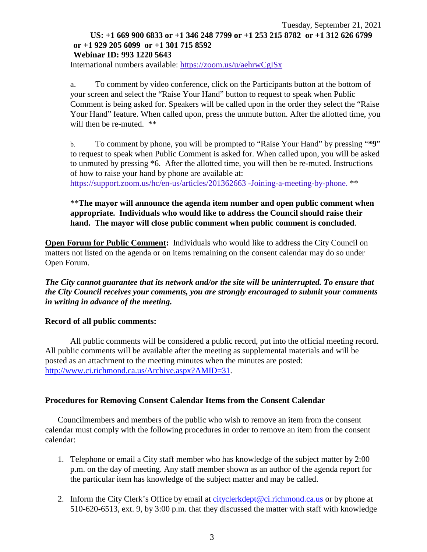#### Tuesday, September 21, 2021 **US: +1 669 900 6833 or +1 346 248 7799 or +1 253 215 8782 or +1 312 626 6799 or +1 929 205 6099 or +1 301 715 8592 Webinar ID: 993 1220 5643**

International numbers available: <https://zoom.us/u/aehrwCgISx>

a. To comment by video conference, click on the Participants button at the bottom of your screen and select the "Raise Your Hand" button to request to speak when Public Comment is being asked for. Speakers will be called upon in the order they select the "Raise Your Hand" feature. When called upon, press the unmute button. After the allotted time, you will then be re-muted.  $**$ 

b. To comment by phone, you will be prompted to "Raise Your Hand" by pressing "**\*9**" to request to speak when Public Comment is asked for. When called upon, you will be asked to unmuted by pressing \*6. After the allotted time, you will then be re-muted. Instructions of how to raise your hand by phone are available at:

[https://support.zoom.us/hc/en-us/articles/201362663 -Joining-a-meeting-by-phone.](https://support.zoom.us/hc/en-us/articles/201362663) \*\*

#### \*\***The mayor will announce the agenda item number and open public comment when appropriate. Individuals who would like to address the Council should raise their hand. The mayor will close public comment when public comment is concluded**.

**Open Forum for Public Comment:** Individuals who would like to address the City Council on matters not listed on the agenda or on items remaining on the consent calendar may do so under Open Forum.

*The City cannot guarantee that its network and/or the site will be uninterrupted. To ensure that the City Council receives your comments, you are strongly encouraged to submit your comments in writing in advance of the meeting.* 

#### **Record of all public comments:**

All public comments will be considered a public record, put into the official meeting record. All public comments will be available after the meeting as supplemental materials and will be posted as an attachment to the meeting minutes when the minutes are posted: [http://www.ci.richmond.ca.us/Archive.aspx?AMID=31.](http://www.ci.richmond.ca.us/Archive.aspx?AMID=31)

#### **Procedures for Removing Consent Calendar Items from the Consent Calendar**

Councilmembers and members of the public who wish to remove an item from the consent calendar must comply with the following procedures in order to remove an item from the consent calendar:

- 1. Telephone or email a City staff member who has knowledge of the subject matter by 2:00 p.m. on the day of meeting. Any staff member shown as an author of the agenda report for the particular item has knowledge of the subject matter and may be called.
- 2. Inform the City Clerk's Office by email at [cityclerkdept@ci.richmond.ca.us](mailto:cityclerkdept@ci.richmond.ca.us) or by phone at 510-620-6513, ext. 9, by 3:00 p.m. that they discussed the matter with staff with knowledge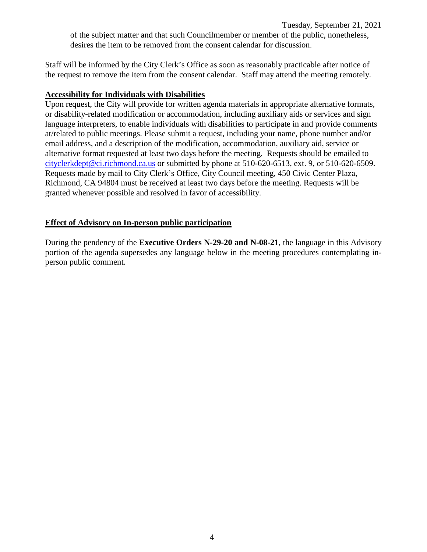Tuesday, September 21, 2021

of the subject matter and that such Councilmember or member of the public, nonetheless, desires the item to be removed from the consent calendar for discussion.

Staff will be informed by the City Clerk's Office as soon as reasonably practicable after notice of the request to remove the item from the consent calendar. Staff may attend the meeting remotely.

#### **Accessibility for Individuals with Disabilities**

Upon request, the City will provide for written agenda materials in appropriate alternative formats, or disability-related modification or accommodation, including auxiliary aids or services and sign language interpreters, to enable individuals with disabilities to participate in and provide comments at/related to public meetings. Please submit a request, including your name, phone number and/or email address, and a description of the modification, accommodation, auxiliary aid, service or alternative format requested at least two days before the meeting. Requests should be emailed to [cityclerkdept@ci.richmond.ca.us](mailto:cityclerkdept@ci.richmond.ca.us) or submitted by phone at 510-620-6513, ext. 9, or 510-620-6509. Requests made by mail to City Clerk's Office, City Council meeting, 450 Civic Center Plaza, Richmond, CA 94804 must be received at least two days before the meeting. Requests will be granted whenever possible and resolved in favor of accessibility.

#### **Effect of Advisory on In-person public participation**

During the pendency of the **Executive Orders N-29-20 and N-08-21**, the language in this Advisory portion of the agenda supersedes any language below in the meeting procedures contemplating inperson public comment.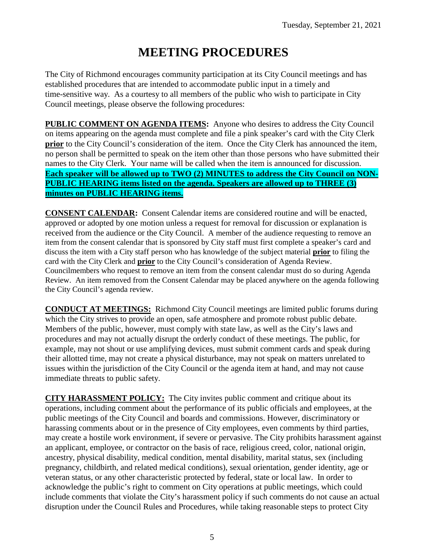# **MEETING PROCEDURES**

The City of Richmond encourages community participation at its City Council meetings and has established procedures that are intended to accommodate public input in a timely and time-sensitive way. As a courtesy to all members of the public who wish to participate in City Council meetings, please observe the following procedures:

**PUBLIC COMMENT ON AGENDA ITEMS:** Anyone who desires to address the City Council on items appearing on the agenda must complete and file a pink speaker's card with the City Clerk **prior** to the City Council's consideration of the item. Once the City Clerk has announced the item, no person shall be permitted to speak on the item other than those persons who have submitted their names to the City Clerk. Your name will be called when the item is announced for discussion. **Each speaker will be allowed up to TWO (2) MINUTES to address the City Council on NON-PUBLIC HEARING items listed on the agenda. Speakers are allowed up to THREE (3) minutes on PUBLIC HEARING items.**

**CONSENT CALENDAR:** Consent Calendar items are considered routine and will be enacted, approved or adopted by one motion unless a request for removal for discussion or explanation is received from the audience or the City Council. A member of the audience requesting to remove an item from the consent calendar that is sponsored by City staff must first complete a speaker's card and discuss the item with a City staff person who has knowledge of the subject material **prior** to filing the card with the City Clerk and **prior** to the City Council's consideration of Agenda Review. Councilmembers who request to remove an item from the consent calendar must do so during Agenda Review. An item removed from the Consent Calendar may be placed anywhere on the agenda following the City Council's agenda review.

**CONDUCT AT MEETINGS:** Richmond City Council meetings are limited public forums during which the City strives to provide an open, safe atmosphere and promote robust public debate. Members of the public, however, must comply with state law, as well as the City's laws and procedures and may not actually disrupt the orderly conduct of these meetings. The public, for example, may not shout or use amplifying devices, must submit comment cards and speak during their allotted time, may not create a physical disturbance, may not speak on matters unrelated to issues within the jurisdiction of the City Council or the agenda item at hand, and may not cause immediate threats to public safety.

**CITY HARASSMENT POLICY:** The City invites public comment and critique about its operations, including comment about the performance of its public officials and employees, at the public meetings of the City Council and boards and commissions. However, discriminatory or harassing comments about or in the presence of City employees, even comments by third parties, may create a hostile work environment, if severe or pervasive. The City prohibits harassment against an applicant, employee, or contractor on the basis of race, religious creed, color, national origin, ancestry, physical disability, medical condition, mental disability, marital status, sex (including pregnancy, childbirth, and related medical conditions), sexual orientation, gender identity, age or veteran status, or any other characteristic protected by federal, state or local law. In order to acknowledge the public's right to comment on City operations at public meetings, which could include comments that violate the City's harassment policy if such comments do not cause an actual disruption under the Council Rules and Procedures, while taking reasonable steps to protect City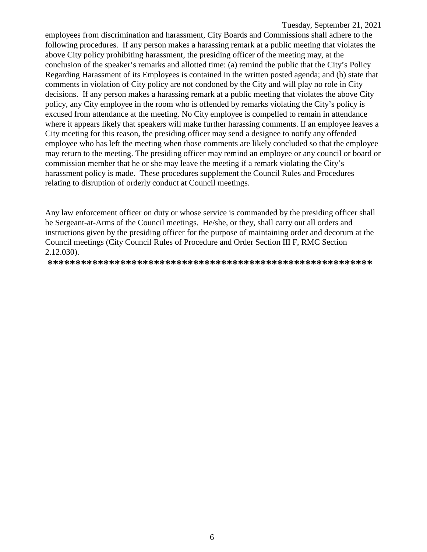employees from discrimination and harassment, City Boards and Commissions shall adhere to the following procedures. If any person makes a harassing remark at a public meeting that violates the above City policy prohibiting harassment, the presiding officer of the meeting may, at the conclusion of the speaker's remarks and allotted time: (a) remind the public that the City's Policy Regarding Harassment of its Employees is contained in the written posted agenda; and (b) state that comments in violation of City policy are not condoned by the City and will play no role in City decisions. If any person makes a harassing remark at a public meeting that violates the above City policy, any City employee in the room who is offended by remarks violating the City's policy is excused from attendance at the meeting. No City employee is compelled to remain in attendance where it appears likely that speakers will make further harassing comments. If an employee leaves a City meeting for this reason, the presiding officer may send a designee to notify any offended employee who has left the meeting when those comments are likely concluded so that the employee may return to the meeting. The presiding officer may remind an employee or any council or board or commission member that he or she may leave the meeting if a remark violating the City's harassment policy is made. These procedures supplement the Council Rules and Procedures relating to disruption of orderly conduct at Council meetings.

Any law enforcement officer on duty or whose service is commanded by the presiding officer shall be Sergeant-at-Arms of the Council meetings. He/she, or they, shall carry out all orders and instructions given by the presiding officer for the purpose of maintaining order and decorum at the Council meetings (City Council Rules of Procedure and Order Section III F, RMC Section 2.12.030).

**\*\*\*\*\*\*\*\*\*\*\*\*\*\*\*\*\*\*\*\*\*\*\*\*\*\*\*\*\*\*\*\*\*\*\*\*\*\*\*\*\*\*\*\*\*\*\*\*\*\*\*\*\*\*\*\*\*\***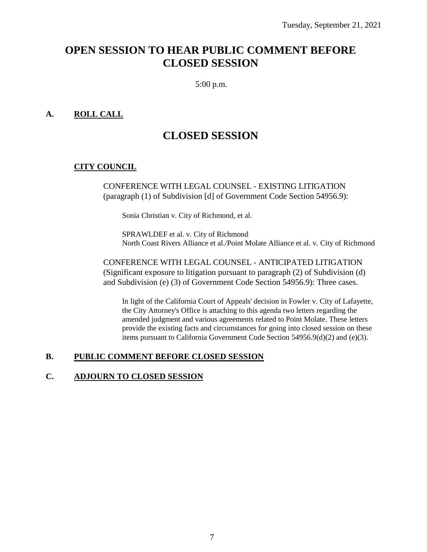## **OPEN SESSION TO HEAR PUBLIC COMMENT BEFORE CLOSED SESSION**

5:00 p.m.

#### **A. ROLL CALL**

## **CLOSED SESSION**

#### **CITY COUNCIL**

CONFERENCE WITH LEGAL COUNSEL - EXISTING LITIGATION (paragraph (1) of Subdivision [d] of Government Code Section 54956.9):

Sonia Christian v. City of Richmond, et al.

SPRAWLDEF et al. v. City of Richmond North Coast Rivers Alliance et al./Point Molate Alliance et al. v. City of Richmond

CONFERENCE WITH LEGAL COUNSEL - ANTICIPATED LITIGATION (Significant exposure to litigation pursuant to paragraph (2) of Subdivision (d) and Subdivision (e) (3) of Government Code Section 54956.9): Three cases.

In light of the California Court of Appeals' decision in Fowler v. City of Lafayette, the City Attorney's Office is attaching to this agenda two letters regarding the amended judgment and various agreements related to Point Molate. These letters provide the existing facts and circumstances for going into closed session on these items pursuant to California Government Code Section 54956.9(d)(2) and (e)(3).

#### **B. PUBLIC COMMENT BEFORE CLOSED SESSION**

#### **C. ADJOURN TO CLOSED SESSION**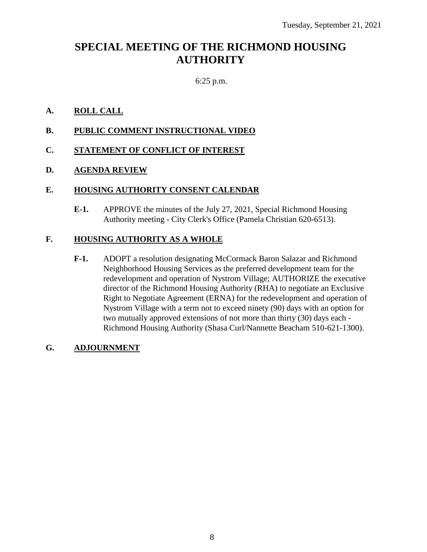## **SPECIAL MEETING OF THE RICHMOND HOUSING AUTHORITY**

### 6:25 p.m.

#### **A. ROLL CALL**

**B. PUBLIC COMMENT INSTRUCTIONAL VIDEO**

#### **C. STATEMENT OF CONFLICT OF INTEREST**

#### **D. AGENDA REVIEW**

#### **E. HOUSING AUTHORITY CONSENT CALENDAR**

**E-1.** APPROVE the minutes of the July 27, 2021, Special Richmond Housing Authority meeting - City Clerk's Office (Pamela Christian 620-6513).

#### **F. HOUSING AUTHORITY AS A WHOLE**

**F-1.** ADOPT a resolution designating McCormack Baron Salazar and Richmond Neighborhood Housing Services as the preferred development team for the redevelopment and operation of Nystrom Village; AUTHORIZE the executive director of the Richmond Housing Authority (RHA) to negotiate an Exclusive Right to Negotiate Agreement (ERNA) for the redevelopment and operation of Nystrom Village with a term not to exceed ninety (90) days with an option for two mutually approved extensions of not more than thirty (30) days each - Richmond Housing Authority (Shasa Curl/Nannette Beacham 510-621-1300).

#### **G. ADJOURNMENT**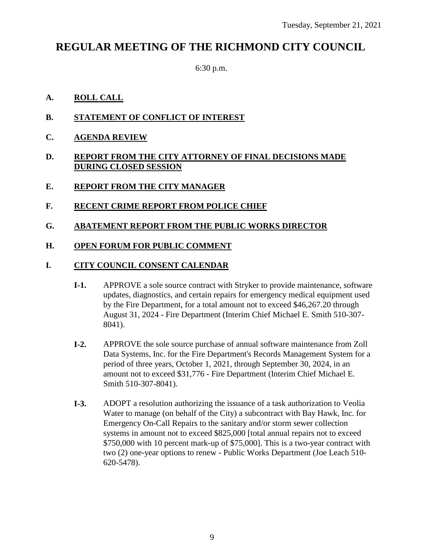## **REGULAR MEETING OF THE RICHMOND CITY COUNCIL**

6:30 p.m.

#### **A. ROLL CALL**

- **B. STATEMENT OF CONFLICT OF INTEREST**
- **C. AGENDA REVIEW**
- **D. REPORT FROM THE CITY ATTORNEY OF FINAL DECISIONS MADE DURING CLOSED SESSION**
- **E. REPORT FROM THE CITY MANAGER**
- **F. RECENT CRIME REPORT FROM POLICE CHIEF**
- **G. ABATEMENT REPORT FROM THE PUBLIC WORKS DIRECTOR**
- **H. OPEN FORUM FOR PUBLIC COMMENT**

#### **I. CITY COUNCIL CONSENT CALENDAR**

- **I-1.** APPROVE a sole source contract with Stryker to provide maintenance, software updates, diagnostics, and certain repairs for emergency medical equipment used by the Fire Department, for a total amount not to exceed \$46,267.20 through August 31, 2024 - Fire Department (Interim Chief Michael E. Smith 510-307- 8041).
- **I-2.** APPROVE the sole source purchase of annual software maintenance from Zoll Data Systems, Inc. for the Fire Department's Records Management System for a period of three years, October 1, 2021, through September 30, 2024, in an amount not to exceed \$31,776 - Fire Department (Interim Chief Michael E. Smith 510-307-8041).
- **I-3.** ADOPT a resolution authorizing the issuance of a task authorization to Veolia Water to manage (on behalf of the City) a subcontract with Bay Hawk, Inc. for Emergency On-Call Repairs to the sanitary and/or storm sewer collection systems in amount not to exceed \$825,000 [total annual repairs not to exceed \$750,000 with 10 percent mark-up of \$75,000]. This is a two-year contract with two (2) one-year options to renew - Public Works Department (Joe Leach 510- 620-5478).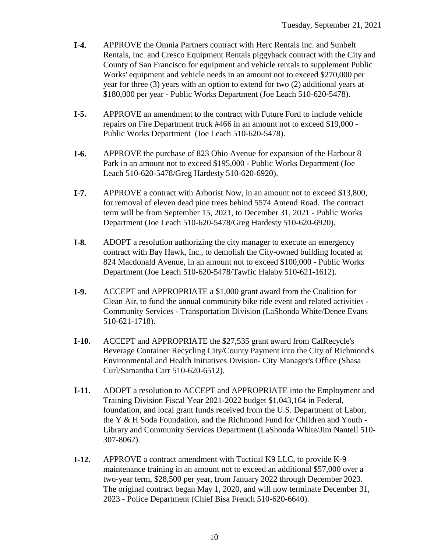- **I-4.** APPROVE the Omnia Partners contract with Herc Rentals Inc. and Sunbelt Rentals, Inc. and Cresco Equipment Rentals piggyback contract with the City and County of San Francisco for equipment and vehicle rentals to supplement Public Works' equipment and vehicle needs in an amount not to exceed \$270,000 per year for three (3) years with an option to extend for two (2) additional years at \$180,000 per year - Public Works Department (Joe Leach 510-620-5478).
- **I-5.** APPROVE an amendment to the contract with Future Ford to include vehicle repairs on Fire Department truck #466 in an amount not to exceed \$19,000 - Public Works Department (Joe Leach 510-620-5478).
- **I-6.** APPROVE the purchase of 823 Ohio Avenue for expansion of the Harbour 8 Park in an amount not to exceed \$195,000 - Public Works Department (Joe Leach 510-620-5478/Greg Hardesty 510-620-6920).
- **I-7.** APPROVE a contract with Arborist Now, in an amount not to exceed \$13,800, for removal of eleven dead pine trees behind 5574 Amend Road. The contract term will be from September 15, 2021, to December 31, 2021 - Public Works Department (Joe Leach 510-620-5478/Greg Hardesty 510-620-6920).
- **I-8.** ADOPT a resolution authorizing the city manager to execute an emergency contract with Bay Hawk, Inc., to demolish the City-owned building located at 824 Macdonald Avenue, in an amount not to exceed \$100,000 - Public Works Department (Joe Leach 510-620-5478/Tawfic Halaby 510-621-1612).
- **I-9.** ACCEPT and APPROPRIATE a \$1,000 grant award from the Coalition for Clean Air, to fund the annual community bike ride event and related activities - Community Services - Transportation Division (LaShonda White/Denee Evans 510-621-1718).
- **I-10.** ACCEPT and APPROPRIATE the \$27,535 grant award from CalRecycle's Beverage Container Recycling City/County Payment into the City of Richmond's Environmental and Health Initiatives Division- City Manager's Office (Shasa Curl/Samantha Carr 510-620-6512).
- **I-11.** ADOPT a resolution to ACCEPT and APPROPRIATE into the Employment and Training Division Fiscal Year 2021-2022 budget \$1,043,164 in Federal, foundation, and local grant funds received from the U.S. Department of Labor, the Y & H Soda Foundation, and the Richmond Fund for Children and Youth - Library and Community Services Department (LaShonda White/Jim Nantell 510- 307-8062).
- **I-12.** APPROVE a contract amendment with Tactical K9 LLC, to provide K-9 maintenance training in an amount not to exceed an additional \$57,000 over a two-year term, \$28,500 per year, from January 2022 through December 2023. The original contract began May 1, 2020, and will now terminate December 31, 2023 - Police Department (Chief Bisa French 510-620-6640).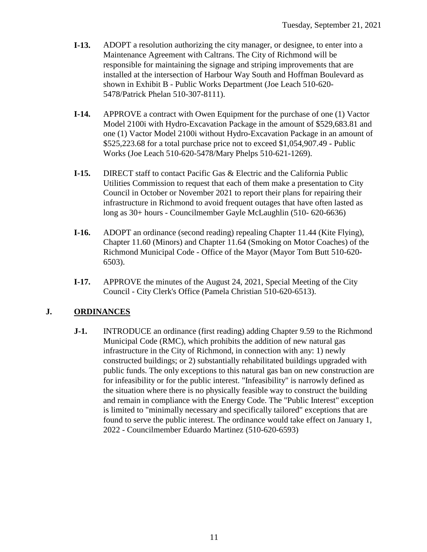- **I-13.** ADOPT a resolution authorizing the city manager, or designee, to enter into a Maintenance Agreement with Caltrans. The City of Richmond will be responsible for maintaining the signage and striping improvements that are installed at the intersection of Harbour Way South and Hoffman Boulevard as shown in Exhibit B - Public Works Department (Joe Leach 510-620- 5478/Patrick Phelan 510-307-8111).
- **I-14.** APPROVE a contract with Owen Equipment for the purchase of one (1) Vactor Model 2100i with Hydro-Excavation Package in the amount of \$529,683.81 and one (1) Vactor Model 2100i without Hydro-Excavation Package in an amount of \$525,223.68 for a total purchase price not to exceed \$1,054,907.49 - Public Works (Joe Leach 510-620-5478/Mary Phelps 510-621-1269).
- **I-15.** DIRECT staff to contact Pacific Gas & Electric and the California Public Utilities Commission to request that each of them make a presentation to City Council in October or November 2021 to report their plans for repairing their infrastructure in Richmond to avoid frequent outages that have often lasted as long as 30+ hours - Councilmember Gayle McLaughlin (510- 620-6636)
- **I-16.** ADOPT an ordinance (second reading) repealing Chapter 11.44 (Kite Flying), Chapter 11.60 (Minors) and Chapter 11.64 (Smoking on Motor Coaches) of the Richmond Municipal Code - Office of the Mayor (Mayor Tom Butt 510-620- 6503).
- **I-17.** APPROVE the minutes of the August 24, 2021, Special Meeting of the City Council - City Clerk's Office (Pamela Christian 510-620-6513).

### **J. ORDINANCES**

**J-1.** INTRODUCE an ordinance (first reading) adding Chapter 9.59 to the Richmond Municipal Code (RMC), which prohibits the addition of new natural gas infrastructure in the City of Richmond, in connection with any: 1) newly constructed buildings; or 2) substantially rehabilitated buildings upgraded with public funds. The only exceptions to this natural gas ban on new construction are for infeasibility or for the public interest. "Infeasibility" is narrowly defined as the situation where there is no physically feasible way to construct the building and remain in compliance with the Energy Code. The "Public Interest" exception is limited to "minimally necessary and specifically tailored" exceptions that are found to serve the public interest. The ordinance would take effect on January 1, 2022 - Councilmember Eduardo Martinez (510-620-6593)